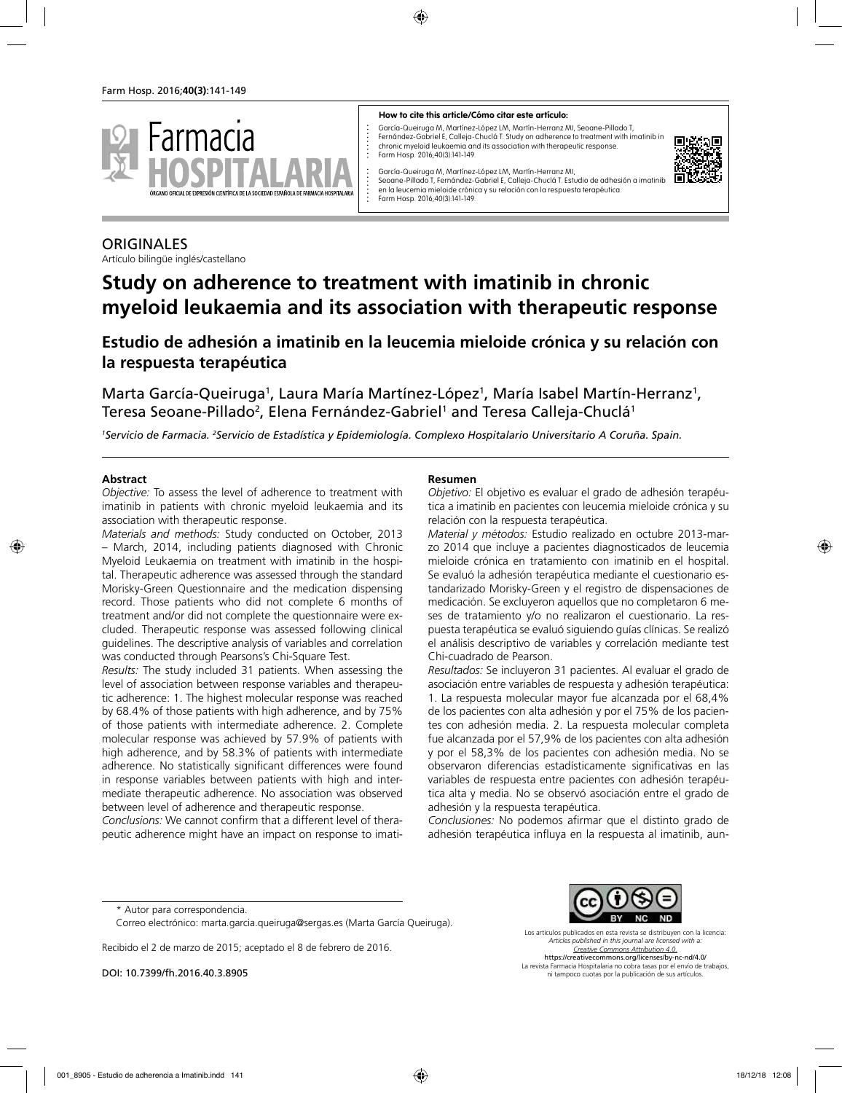

#### **How to cite this article/Cómo citar este artículo:**

García-Queiruga M, Martínez-López LM, Martín-Herranz MI, Seoane-Pillado T, Fernández-Gabriel E, Calleja-Chuclá T. Study on adherence to treatment with imatinib in chronic myeloid leukaemia and its association with therapeutic response. Farm Hosp. 2016;40(3):141-149.



García-Queiruga M, Martínez-López LM, Martín-Herranz MI, Seoane-Pillado T, Fernández-Gabriel E, Calleja-Chuclá T. Estudio de adhesión a imatinib en la leucemia mieloide crónica y su relación con la respuesta terapéutica. Farm Hosp. 2016;40(3):141-149.

## **ORIGINALES**

Artículo bilingüe inglés/castellano

# **Study on adherence to treatment with imatinib in chronic myeloid leukaemia and its association with therapeutic response**

## **Estudio de adhesión a imatinib en la leucemia mieloide crónica y su relación con la respuesta terapéutica**

Marta García-Queiruga<sup>1</sup>, Laura María Martínez-López<sup>1</sup>, María Isabel Martín-Herranz<sup>1</sup>, Teresa Seoane-Pillado<sup>2</sup>, Elena Fernández-Gabriel<sup>1</sup> and Teresa Calleja-Chuclá<sup>1</sup>

*1 Servicio de Farmacia. 2 Servicio de Estadística y Epidemiología. Complexo Hospitalario Universitario A Coruña. Spain.*

#### **Abstract**

*Objective:* To assess the level of adherence to treatment with imatinib in patients with chronic myeloid leukaemia and its association with therapeutic response.

*Materials and methods:* Study conducted on October, 2013 – March, 2014, including patients diagnosed with Chronic Myeloid Leukaemia on treatment with imatinib in the hospital. Therapeutic adherence was assessed through the standard Morisky-Green Questionnaire and the medication dispensing record. Those patients who did not complete 6 months of treatment and/or did not complete the questionnaire were excluded. Therapeutic response was assessed following clinical guidelines. The descriptive analysis of variables and correlation was conducted through Pearsons's Chi-Square Test.

*Results:* The study included 31 patients. When assessing the level of association between response variables and therapeutic adherence: 1. The highest molecular response was reached by 68.4% of those patients with high adherence, and by 75% of those patients with intermediate adherence. 2. Complete molecular response was achieved by 57.9% of patients with high adherence, and by 58.3% of patients with intermediate adherence. No statistically significant differences were found in response variables between patients with high and intermediate therapeutic adherence. No association was observed between level of adherence and therapeutic response.

*Conclusions:* We cannot confirm that a different level of therapeutic adherence might have an impact on response to imati-

#### **Resumen**

*Objetivo:* El objetivo es evaluar el grado de adhesión terapéutica a imatinib en pacientes con leucemia mieloide crónica y su relación con la respuesta terapéutica.

*Material y métodos:* Estudio realizado en octubre 2013-marzo 2014 que incluye a pacientes diagnosticados de leucemia mieloide crónica en tratamiento con imatinib en el hospital. Se evaluó la adhesión terapéutica mediante el cuestionario estandarizado Morisky-Green y el registro de dispensaciones de medicación. Se excluyeron aquellos que no completaron 6 meses de tratamiento y/o no realizaron el cuestionario. La respuesta terapéutica se evaluó siguiendo guías clínicas. Se realizó el análisis descriptivo de variables y correlación mediante test Chi-cuadrado de Pearson.

*Resultados:* Se incluyeron 31 pacientes. Al evaluar el grado de asociación entre variables de respuesta y adhesión terapéutica: 1. La respuesta molecular mayor fue alcanzada por el 68,4% de los pacientes con alta adhesión y por el 75% de los pacientes con adhesión media. 2. La respuesta molecular completa fue alcanzada por el 57,9% de los pacientes con alta adhesión y por el 58,3% de los pacientes con adhesión media. No se observaron diferencias estadísticamente significativas en las variables de respuesta entre pacientes con adhesión terapéutica alta y media. No se observó asociación entre el grado de adhesión y la respuesta terapéutica.

*Conclusiones:* No podemos afirmar que el distinto grado de adhesión terapéutica influya en la respuesta al imatinib, aun-

Recibido el 2 de marzo de 2015; aceptado el 8 de febrero de 2016.

DOI: 10.7399/fh.2016.40.3.8905



Los artículos publicados en esta revista se distribuyen con la licencia: *Articles published in this journal are licensed with a: Creative Commons Attribution 4.0.* https://creativecommons.org/licenses/by-nc-nd/4.0/ La revista Farmacia Hospitalaria no cobra tasas por el envío de trabajos,

ni tampoco cuotas por la publicación de sus artículos.

<sup>\*</sup> Autor para correspondencia.

Correo electrónico: marta.garcia.queiruga@sergas.es (Marta García Queiruga).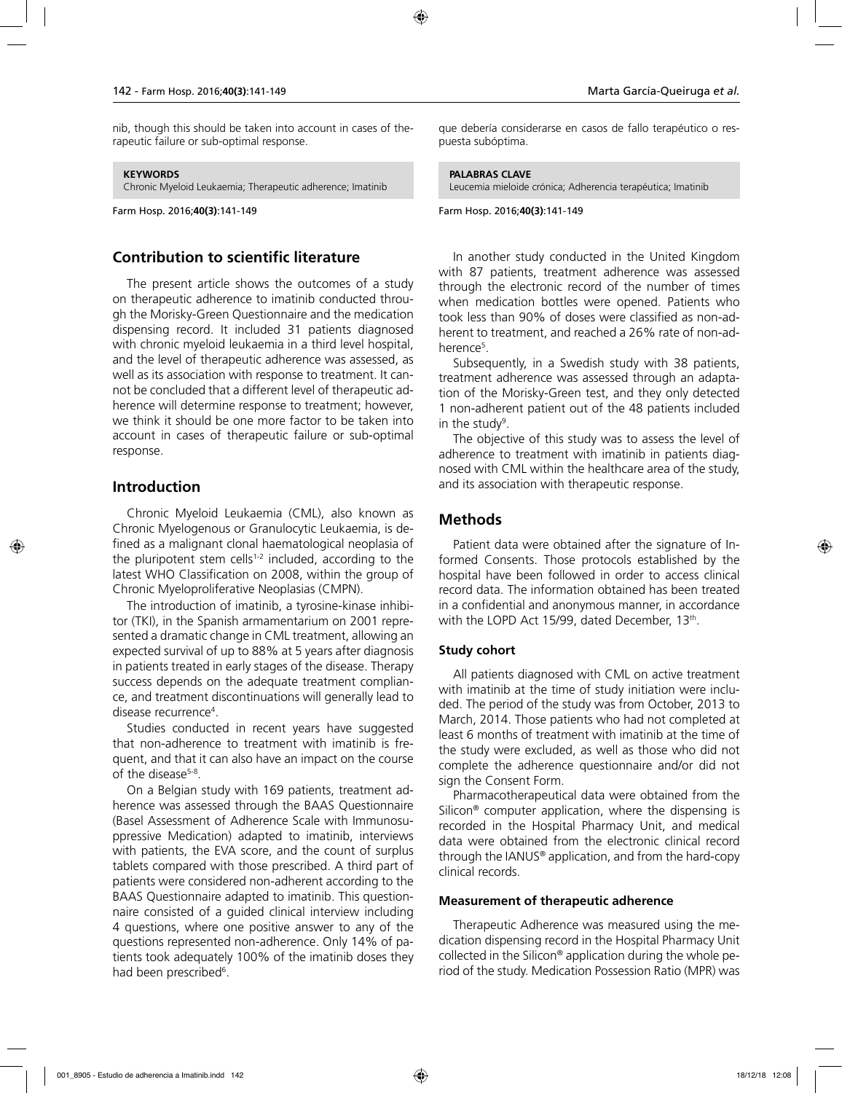nib, though this should be taken into account in cases of therapeutic failure or sub-optimal response.

#### **KEYWORDS**

Chronic Myeloid Leukaemia; Therapeutic adherence; Imatinib

Farm Hosp. 2016;**40(3)**:141-149

### **Contribution to scientific literature**

The present article shows the outcomes of a study on therapeutic adherence to imatinib conducted through the Morisky-Green Questionnaire and the medication dispensing record. It included 31 patients diagnosed with chronic myeloid leukaemia in a third level hospital, and the level of therapeutic adherence was assessed, as well as its association with response to treatment. It cannot be concluded that a different level of therapeutic adherence will determine response to treatment; however, we think it should be one more factor to be taken into account in cases of therapeutic failure or sub-optimal response.

## **Introduction**

Chronic Myeloid Leukaemia (CML), also known as Chronic Myelogenous or Granulocytic Leukaemia, is defined as a malignant clonal haematological neoplasia of the pluripotent stem cells<sup>1-2</sup> included, according to the latest WHO Classification on 2008, within the group of Chronic Myeloproliferative Neoplasias (CMPN).

The introduction of imatinib, a tyrosine-kinase inhibitor (TKI), in the Spanish armamentarium on 2001 represented a dramatic change in CML treatment, allowing an expected survival of up to 88% at 5 years after diagnosis in patients treated in early stages of the disease. Therapy success depends on the adequate treatment compliance, and treatment discontinuations will generally lead to disease recurrence4 .

Studies conducted in recent years have suggested that non-adherence to treatment with imatinib is frequent, and that it can also have an impact on the course of the disease<sup>5-8</sup>.

On a Belgian study with 169 patients, treatment adherence was assessed through the BAAS Questionnaire (Basel Assessment of Adherence Scale with Immunosuppressive Medication) adapted to imatinib, interviews with patients, the EVA score, and the count of surplus tablets compared with those prescribed. A third part of patients were considered non-adherent according to the BAAS Questionnaire adapted to imatinib. This questionnaire consisted of a guided clinical interview including 4 questions, where one positive answer to any of the questions represented non-adherence. Only 14% of patients took adequately 100% of the imatinib doses they had been prescribed<sup>6</sup>.

que debería considerarse en casos de fallo terapéutico o respuesta subóptima.

#### **PALABRAS CLAVE**

Leucemia mieloide crónica; Adherencia terapéutica; Imatinib

#### Farm Hosp. 2016;**40(3)**:141-149

In another study conducted in the United Kingdom with 87 patients, treatment adherence was assessed through the electronic record of the number of times when medication bottles were opened. Patients who took less than 90% of doses were classified as non-adherent to treatment, and reached a 26% rate of non-adherence<sup>5</sup>.

Subsequently, in a Swedish study with 38 patients, treatment adherence was assessed through an adaptation of the Morisky-Green test, and they only detected 1 non-adherent patient out of the 48 patients included in the study<sup>9</sup>.

The objective of this study was to assess the level of adherence to treatment with imatinib in patients diagnosed with CML within the healthcare area of the study, and its association with therapeutic response.

### **Methods**

Patient data were obtained after the signature of Informed Consents. Those protocols established by the hospital have been followed in order to access clinical record data. The information obtained has been treated in a confidential and anonymous manner, in accordance with the LOPD Act 15/99, dated December, 13th.

### **Study cohort**

All patients diagnosed with CML on active treatment with imatinib at the time of study initiation were included. The period of the study was from October, 2013 to March, 2014. Those patients who had not completed at least 6 months of treatment with imatinib at the time of the study were excluded, as well as those who did not complete the adherence questionnaire and/or did not sign the Consent Form.

Pharmacotherapeutical data were obtained from the Silicon® computer application, where the dispensing is recorded in the Hospital Pharmacy Unit, and medical data were obtained from the electronic clinical record through the IANUS® application, and from the hard-copy clinical records.

#### **Measurement of therapeutic adherence**

Therapeutic Adherence was measured using the medication dispensing record in the Hospital Pharmacy Unit collected in the Silicon® application during the whole period of the study. Medication Possession Ratio (MPR) was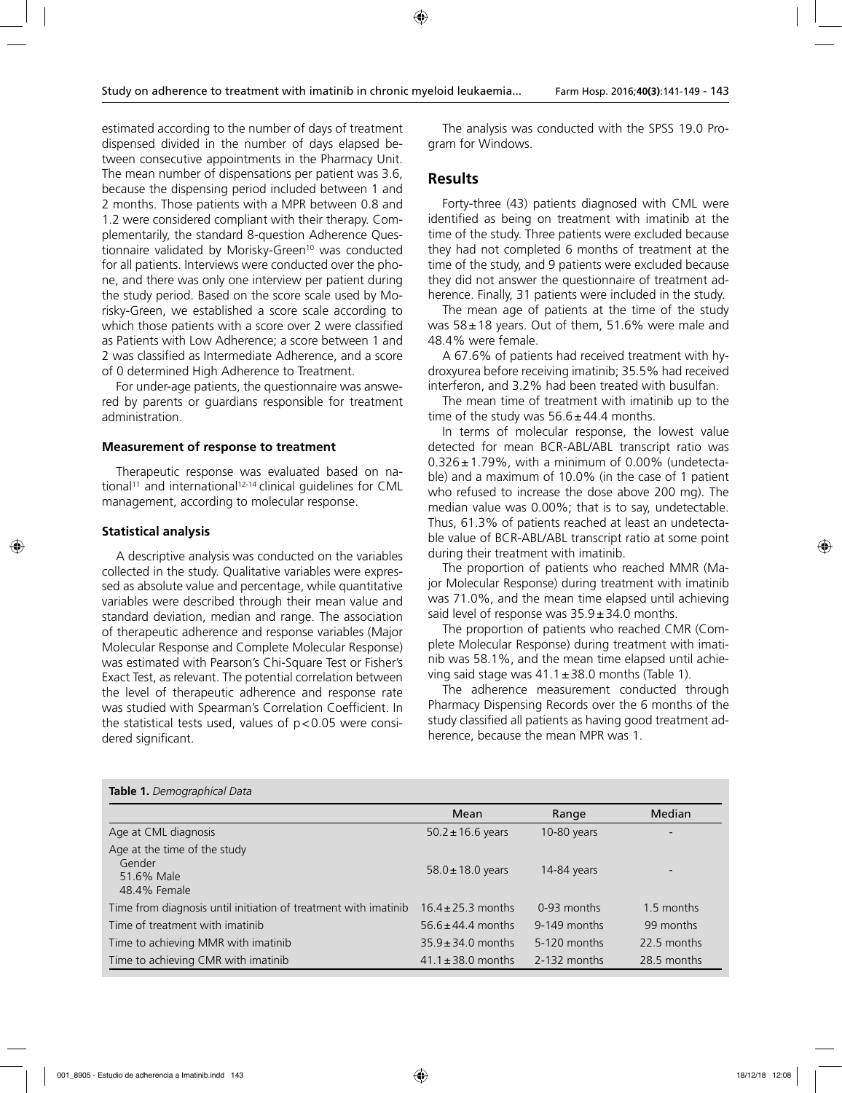estimated according to the number of days of treatment dispensed divided in the number of days elapsed between consecutive appointments in the Pharmacy Unit. The mean number of dispensations per patient was 3.6, because the dispensing period included between 1 and 2 months. Those patients with a MPR between 0.8 and 1.2 were considered compliant with their therapy. Complementarily, the standard 8-question Adherence Questionnaire validated by Morisky-Green<sup>10</sup> was conducted for all patients. Interviews were conducted over the phone, and there was only one interview per patient during the study period. Based on the score scale used by Morisky-Green, we established a score scale according to which those patients with a score over 2 were classified as Patients with Low Adherence; a score between 1 and 2 was classified as Intermediate Adherence, and a score of 0 determined High Adherence to Treatment.

For under-age patients, the questionnaire was answered by parents or guardians responsible for treatment administration.

#### **Measurement of response to treatment**

Therapeutic response was evaluated based on national<sup>11</sup> and international<sup>12-14</sup> clinical guidelines for CML management, according to molecular response.

#### **Statistical analysis**

**Table 1.** *Demographical Data*

A descriptive analysis was conducted on the variables collected in the study. Qualitative variables were expressed as absolute value and percentage, while quantitative variables were described through their mean value and standard deviation, median and range. The association of therapeutic adherence and response variables (Major Molecular Response and Complete Molecular Response) was estimated with Pearson's Chi-Square Test or Fisher's Exact Test, as relevant. The potential correlation between the level of therapeutic adherence and response rate was studied with Spearman's Correlation Coefficient. In the statistical tests used, values of  $p < 0.05$  were considered significant.

The analysis was conducted with the SPSS 19.0 Program for Windows.

### **Results**

Forty-three (43) patients diagnosed with CML were identified as being on treatment with imatinib at the time of the study. Three patients were excluded because they had not completed 6 months of treatment at the time of the study, and 9 patients were excluded because they did not answer the questionnaire of treatment adherence. Finally, 31 patients were included in the study.

The mean age of patients at the time of the study was  $58 \pm 18$  years. Out of them, 51.6% were male and 48.4% were female.

A 67.6% of patients had received treatment with hydroxyurea before receiving imatinib; 35.5% had received interferon, and 3.2% had been treated with busulfan.

The mean time of treatment with imatinib up to the time of the study was  $56.6 \pm 44.4$  months.

In terms of molecular response, the lowest value detected for mean BCR-ABL/ABL transcript ratio was  $0.326 \pm 1.79\%$ , with a minimum of 0.00% (undetectable) and a maximum of 10.0% (in the case of 1 patient who refused to increase the dose above 200 mg). The median value was 0.00%; that is to say, undetectable. Thus, 61.3% of patients reached at least an undetectable value of BCR-ABL/ABL transcript ratio at some point during their treatment with imatinib.

The proportion of patients who reached MMR (Major Molecular Response) during treatment with imatinib was 71.0%, and the mean time elapsed until achieving said level of response was  $35.9 \pm 34.0$  months.

The proportion of patients who reached CMR (Complete Molecular Response) during treatment with imatinib was 58.1%, and the mean time elapsed until achieving said stage was  $41.1 \pm 38.0$  months (Table 1).

The adherence measurement conducted through Pharmacy Dispensing Records over the 6 months of the study classified all patients as having good treatment adherence, because the mean MPR was 1.

| <b>lable 1.</b> Delliographical Data                                 |                        |              |             |
|----------------------------------------------------------------------|------------------------|--------------|-------------|
|                                                                      | Mean                   | Range        | Median      |
| Age at CML diagnosis                                                 | $50.2 \pm 16.6$ years  | 10-80 years  |             |
| Age at the time of the study<br>Gender<br>51.6% Male<br>48.4% Female | $58.0 \pm 18.0$ years  | 14-84 years  |             |
| Time from diagnosis until initiation of treatment with imatinib      | $16.4 \pm 25.3$ months | 0-93 months  | 1.5 months  |
| Time of treatment with imatinib                                      | $56.6 \pm 44.4$ months | 9-149 months | 99 months   |
| Time to achieving MMR with imatinib                                  | $35.9 \pm 34.0$ months | 5-120 months | 22.5 months |
| Time to achieving CMR with imatinib                                  | $41.1 \pm 38.0$ months | 2-132 months | 28.5 months |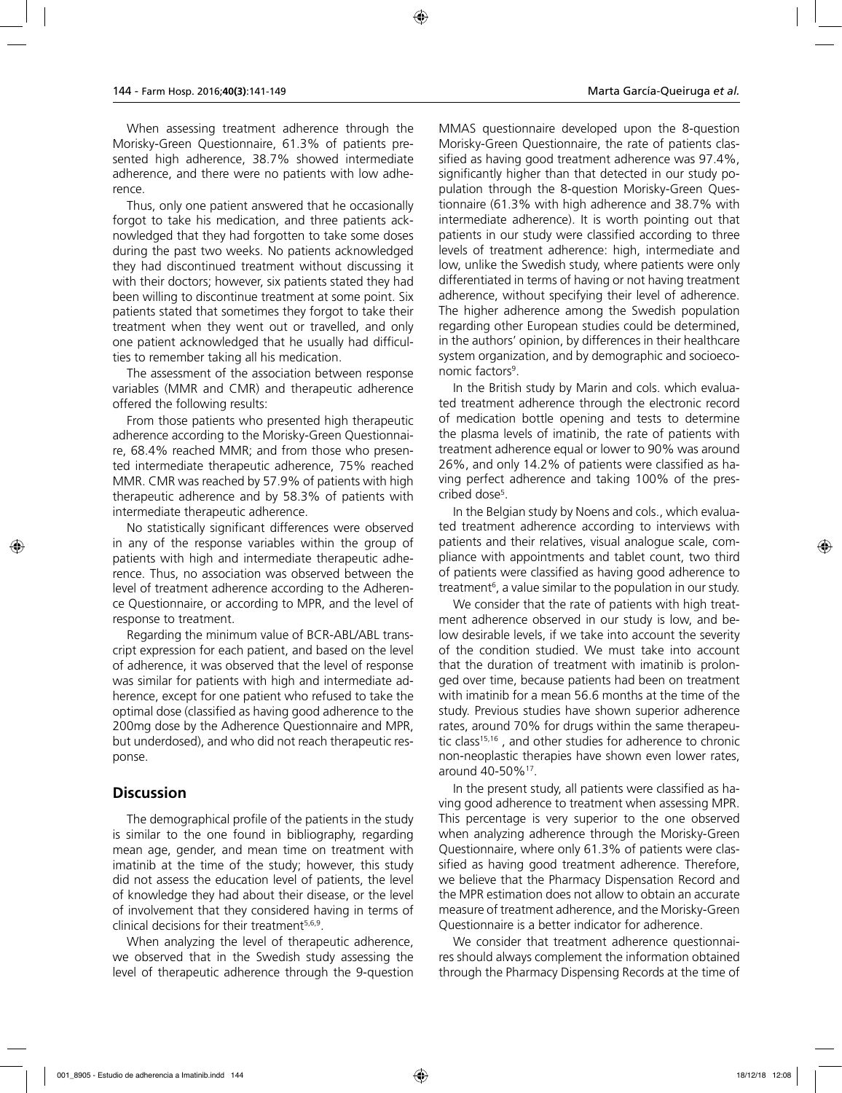When assessing treatment adherence through the Morisky-Green Questionnaire, 61.3% of patients presented high adherence, 38.7% showed intermediate adherence, and there were no patients with low adherence.

Thus, only one patient answered that he occasionally forgot to take his medication, and three patients acknowledged that they had forgotten to take some doses during the past two weeks. No patients acknowledged they had discontinued treatment without discussing it with their doctors; however, six patients stated they had been willing to discontinue treatment at some point. Six patients stated that sometimes they forgot to take their treatment when they went out or travelled, and only one patient acknowledged that he usually had difficulties to remember taking all his medication.

The assessment of the association between response variables (MMR and CMR) and therapeutic adherence offered the following results:

From those patients who presented high therapeutic adherence according to the Morisky-Green Questionnaire, 68.4% reached MMR; and from those who presented intermediate therapeutic adherence, 75% reached MMR. CMR was reached by 57.9% of patients with high therapeutic adherence and by 58.3% of patients with intermediate therapeutic adherence.

No statistically significant differences were observed in any of the response variables within the group of patients with high and intermediate therapeutic adherence. Thus, no association was observed between the level of treatment adherence according to the Adherence Questionnaire, or according to MPR, and the level of response to treatment.

Regarding the minimum value of BCR-ABL/ABL transcript expression for each patient, and based on the level of adherence, it was observed that the level of response was similar for patients with high and intermediate adherence, except for one patient who refused to take the optimal dose (classified as having good adherence to the 200mg dose by the Adherence Questionnaire and MPR, but underdosed), and who did not reach therapeutic response.

## **Discussion**

The demographical profile of the patients in the study is similar to the one found in bibliography, regarding mean age, gender, and mean time on treatment with imatinib at the time of the study; however, this study did not assess the education level of patients, the level of knowledge they had about their disease, or the level of involvement that they considered having in terms of clinical decisions for their treatment5,6,9.

When analyzing the level of therapeutic adherence, we observed that in the Swedish study assessing the level of therapeutic adherence through the 9-question MMAS questionnaire developed upon the 8-question Morisky-Green Questionnaire, the rate of patients classified as having good treatment adherence was 97.4%, significantly higher than that detected in our study population through the 8-question Morisky-Green Questionnaire (61.3% with high adherence and 38.7% with intermediate adherence). It is worth pointing out that patients in our study were classified according to three levels of treatment adherence: high, intermediate and low, unlike the Swedish study, where patients were only differentiated in terms of having or not having treatment adherence, without specifying their level of adherence. The higher adherence among the Swedish population regarding other European studies could be determined, in the authors' opinion, by differences in their healthcare system organization, and by demographic and socioeconomic factors<sup>9</sup>.

In the British study by Marin and cols. which evaluated treatment adherence through the electronic record of medication bottle opening and tests to determine the plasma levels of imatinib, the rate of patients with treatment adherence equal or lower to 90% was around 26%, and only 14.2% of patients were classified as having perfect adherence and taking 100% of the prescribed dose5 .

In the Belgian study by Noens and cols., which evaluated treatment adherence according to interviews with patients and their relatives, visual analogue scale, compliance with appointments and tablet count, two third of patients were classified as having good adherence to treatment<sup>6</sup>, a value similar to the population in our study.

We consider that the rate of patients with high treatment adherence observed in our study is low, and below desirable levels, if we take into account the severity of the condition studied. We must take into account that the duration of treatment with imatinib is prolonged over time, because patients had been on treatment with imatinib for a mean 56.6 months at the time of the study. Previous studies have shown superior adherence rates, around 70% for drugs within the same therapeutic class<sup>15,16</sup>, and other studies for adherence to chronic non-neoplastic therapies have shown even lower rates, around 40-50%17.

In the present study, all patients were classified as having good adherence to treatment when assessing MPR. This percentage is very superior to the one observed when analyzing adherence through the Morisky-Green Questionnaire, where only 61.3% of patients were classified as having good treatment adherence. Therefore, we believe that the Pharmacy Dispensation Record and the MPR estimation does not allow to obtain an accurate measure of treatment adherence, and the Morisky-Green Questionnaire is a better indicator for adherence.

We consider that treatment adherence questionnaires should always complement the information obtained through the Pharmacy Dispensing Records at the time of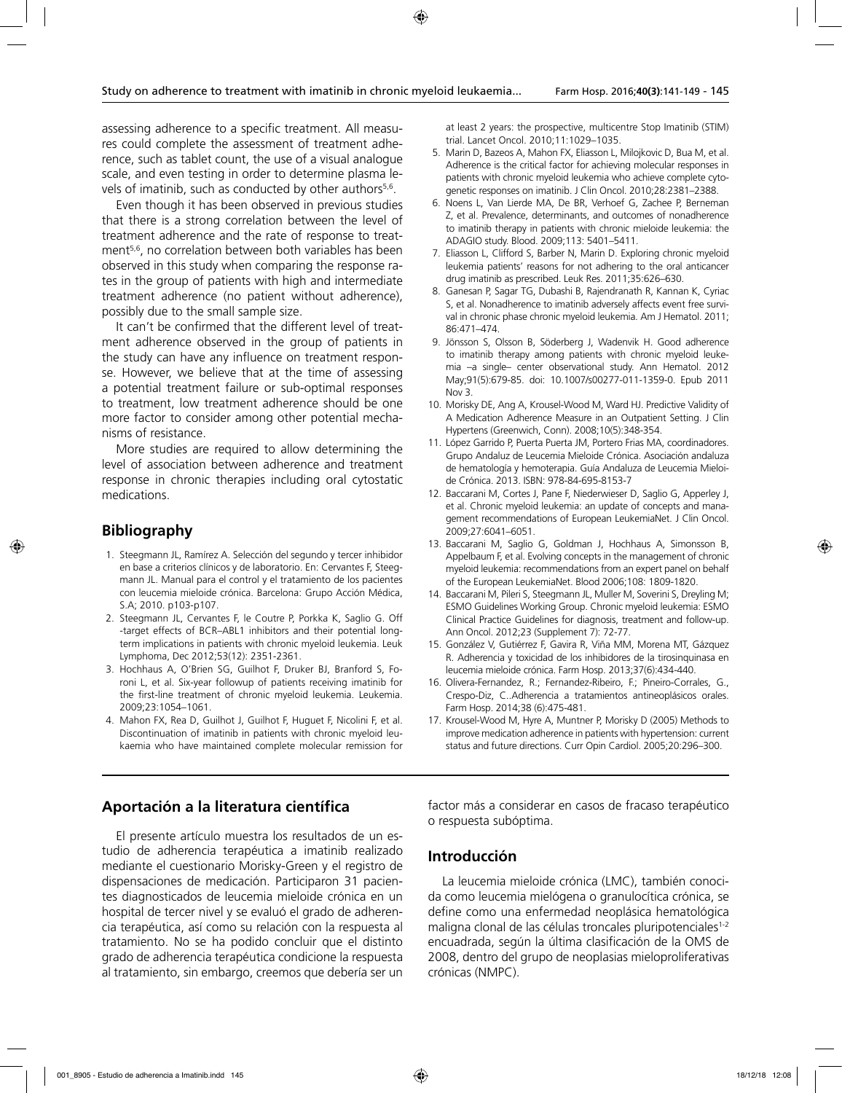assessing adherence to a specific treatment. All measures could complete the assessment of treatment adherence, such as tablet count, the use of a visual analogue scale, and even testing in order to determine plasma levels of imatinib, such as conducted by other authors<sup>5,6</sup>.

Even though it has been observed in previous studies that there is a strong correlation between the level of treatment adherence and the rate of response to treatment<sup>5,6</sup>, no correlation between both variables has been observed in this study when comparing the response rates in the group of patients with high and intermediate treatment adherence (no patient without adherence), possibly due to the small sample size.

It can't be confirmed that the different level of treatment adherence observed in the group of patients in the study can have any influence on treatment response. However, we believe that at the time of assessing a potential treatment failure or sub-optimal responses to treatment, low treatment adherence should be one more factor to consider among other potential mechanisms of resistance.

More studies are required to allow determining the level of association between adherence and treatment response in chronic therapies including oral cytostatic medications.

## **Bibliography**

- 1. Steegmann JL, Ramírez A. Selección del segundo y tercer inhibidor en base a criterios clínicos y de laboratorio. En: Cervantes F, Steegmann JL. Manual para el control y el tratamiento de los pacientes con leucemia mieloide crónica. Barcelona: Grupo Acción Médica, S.A; 2010. p103-p107.
- 2. Steegmann JL, Cervantes F, le Coutre P, Porkka K, Saglio G. Off -target effects of BCR–ABL1 inhibitors and their potential longterm implications in patients with chronic myeloid leukemia. Leuk Lymphoma, Dec 2012;53(12): 2351-2361.
- 3. Hochhaus A, O'Brien SG, Guilhot F, Druker BJ, Branford S, Foroni L, et al. Six-year followup of patients receiving imatinib for the first-line treatment of chronic myeloid leukemia. Leukemia. 2009;23:1054–1061.
- 4. Mahon FX, Rea D, Guilhot J, Guilhot F, Huguet F, Nicolini F, et al. Discontinuation of imatinib in patients with chronic myeloid leukaemia who have maintained complete molecular remission for

at least 2 years: the prospective, multicentre Stop Imatinib (STIM) trial. Lancet Oncol. 2010;11:1029–1035.

- 5. Marin D, Bazeos A, Mahon FX, Eliasson L, Milojkovic D, Bua M, et al. Adherence is the critical factor for achieving molecular responses in patients with chronic myeloid leukemia who achieve complete cytogenetic responses on imatinib. J Clin Oncol. 2010;28:2381–2388.
- 6. Noens L, Van Lierde MA, De BR, Verhoef G, Zachee P, Berneman Z, et al. Prevalence, determinants, and outcomes of nonadherence to imatinib therapy in patients with chronic mieloide leukemia: the ADAGIO study. Blood. 2009;113: 5401–5411.
- 7. Eliasson L, Clifford S, Barber N, Marin D. Exploring chronic myeloid leukemia patients' reasons for not adhering to the oral anticancer drug imatinib as prescribed. Leuk Res. 2011;35:626–630.
- 8. Ganesan P, Sagar TG, Dubashi B, Rajendranath R, Kannan K, Cyriac S, et al. Nonadherence to imatinib adversely affects event free survival in chronic phase chronic myeloid leukemia. Am J Hematol. 2011; 86:471–474.
- 9. Jönsson S, Olsson B, Söderberg J, Wadenvik H. Good adherence to imatinib therapy among patients with chronic myeloid leukemia –a single– center observational study. Ann Hematol. 2012 May;91(5):679-85. doi: 10.1007/s00277-011-1359-0. Epub 2011 Nov 3.
- 10. Morisky DE, Ang A, Krousel-Wood M, Ward HJ. Predictive Validity of A Medication Adherence Measure in an Outpatient Setting. J Clin Hypertens (Greenwich, Conn). 2008;10(5):348-354.
- 11. López Garrido P, Puerta Puerta JM, Portero Frias MA, coordinadores. Grupo Andaluz de Leucemia Mieloide Crónica. Asociación andaluza de hematología y hemoterapia. Guía Andaluza de Leucemia Mieloide Crónica. 2013. ISBN: 978-84-695-8153-7
- 12. Baccarani M, Cortes J, Pane F, Niederwieser D, Saglio G, Apperley J, et al. Chronic myeloid leukemia: an update of concepts and management recommendations of European LeukemiaNet. J Clin Oncol. 2009;27:6041–6051.
- 13. Baccarani M, Saglio G, Goldman J, Hochhaus A, Simonsson B, Appelbaum F, et al. Evolving concepts in the management of chronic myeloid leukemia: recommendations from an expert panel on behalf of the European LeukemiaNet. Blood 2006;108: 1809-1820.
- 14. Baccarani M, Pileri S, Steegmann JL, Muller M, Soverini S, Dreyling M; ESMO Guidelines Working Group. Chronic myeloid leukemia: ESMO Clinical Practice Guidelines for diagnosis, treatment and follow-up. Ann Oncol. 2012;23 (Supplement 7): 72-77.
- 15. González V, Gutiérrez F, Gavira R, Viña MM, Morena MT, Gázquez R. Adherencia y toxicidad de los inhibidores de la tirosinquinasa en leucemia mieloide crónica. Farm Hosp. 2013;37(6):434-440.
- 16. Olivera-Fernandez, R.; Fernandez-Ribeiro, F.; Pineiro-Corrales, G., Crespo-Diz, C..Adherencia a tratamientos antineoplásicos orales. Farm Hosp. 2014;38 (6):475-481.
- 17. Krousel-Wood M, Hyre A, Muntner P, Morisky D (2005) Methods to improve medication adherence in patients with hypertension: current status and future directions. Curr Opin Cardiol. 2005;20:296–300.

## **Aportación a la literatura científica**

El presente artículo muestra los resultados de un estudio de adherencia terapéutica a imatinib realizado mediante el cuestionario Morisky-Green y el registro de dispensaciones de medicación. Participaron 31 pacientes diagnosticados de leucemia mieloide crónica en un hospital de tercer nivel y se evaluó el grado de adherencia terapéutica, así como su relación con la respuesta al tratamiento. No se ha podido concluir que el distinto grado de adherencia terapéutica condicione la respuesta al tratamiento, sin embargo, creemos que debería ser un

factor más a considerar en casos de fracaso terapéutico o respuesta subóptima.

## **Introducción**

La leucemia mieloide crónica (LMC), también conocida como leucemia mielógena o granulocítica crónica, se define como una enfermedad neoplásica hematológica maligna clonal de las células troncales pluripotenciales<sup>1-2</sup> encuadrada, según la última clasificación de la OMS de 2008, dentro del grupo de neoplasias mieloproliferativas crónicas (NMPC).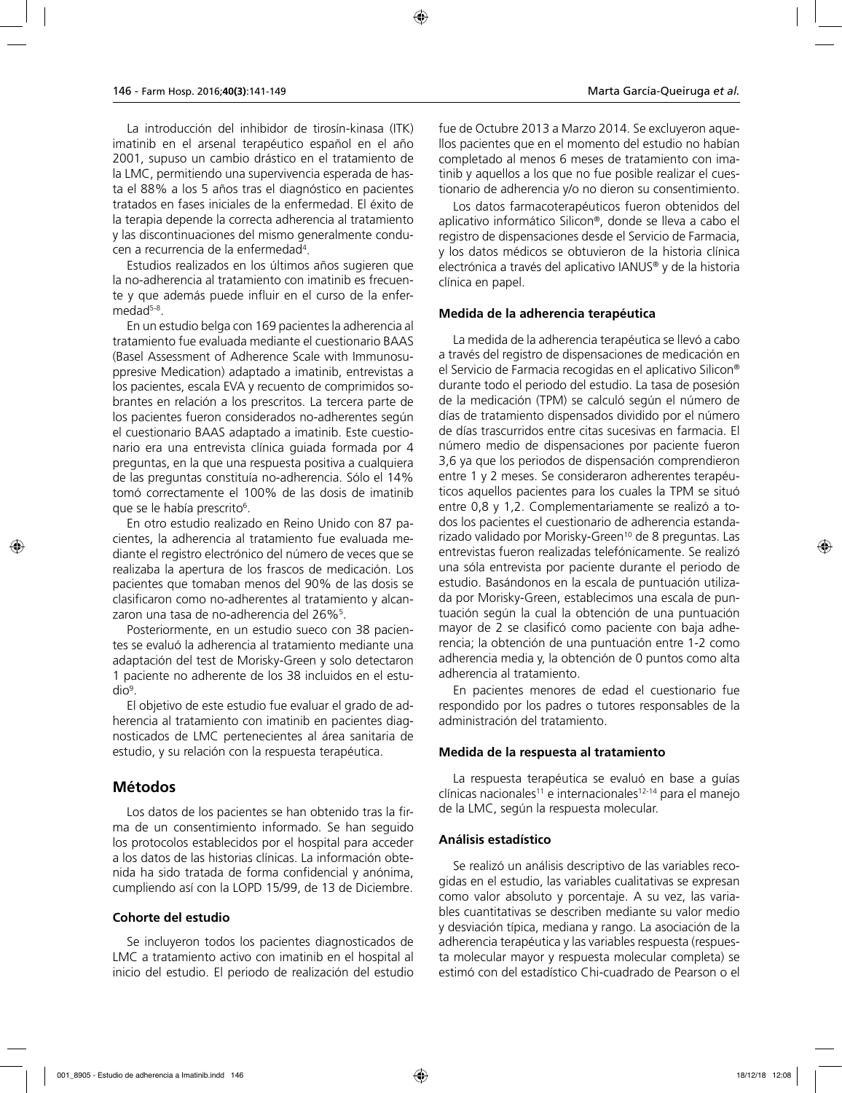La introducción del inhibidor de tirosín-kinasa (ITK) imatinib en el arsenal terapéutico español en el año 2001, supuso un cambio drástico en el tratamiento de la LMC, permitiendo una supervivencia esperada de hasta el 88% a los 5 años tras el diagnóstico en pacientes tratados en fases iniciales de la enfermedad. El éxito de la terapia depende la correcta adherencia al tratamiento y las discontinuaciones del mismo generalmente conducen a recurrencia de la enfermedad4 .

Estudios realizados en los últimos años sugieren que la no-adherencia al tratamiento con imatinib es frecuente y que además puede influir en el curso de la enfermedad<sup>5-8</sup>.

En un estudio belga con 169 pacientes la adherencia al tratamiento fue evaluada mediante el cuestionario BAAS (Basel Assessment of Adherence Scale with Immunosuppresive Medication) adaptado a imatinib, entrevistas a los pacientes, escala EVA y recuento de comprimidos sobrantes en relación a los prescritos. La tercera parte de los pacientes fueron considerados no-adherentes según el cuestionario BAAS adaptado a imatinib. Este cuestionario era una entrevista clínica guiada formada por 4 preguntas, en la que una respuesta positiva a cualquiera de las preguntas constituía no-adherencia. Sólo el 14% tomó correctamente el 100% de las dosis de imatinib que se le había prescrito<sup>6</sup>.

En otro estudio realizado en Reino Unido con 87 pacientes, la adherencia al tratamiento fue evaluada mediante el registro electrónico del número de veces que se realizaba la apertura de los frascos de medicación. Los pacientes que tomaban menos del 90% de las dosis se clasificaron como no-adherentes al tratamiento y alcanzaron una tasa de no-adherencia del 26%<sup>5</sup>.

Posteriormente, en un estudio sueco con 38 pacientes se evaluó la adherencia al tratamiento mediante una adaptación del test de Morisky-Green y solo detectaron 1 paciente no adherente de los 38 incluidos en el estudio9 .

El objetivo de este estudio fue evaluar el grado de adherencia al tratamiento con imatinib en pacientes diagnosticados de LMC pertenecientes al área sanitaria de estudio, y su relación con la respuesta terapéutica.

## **Métodos**

Los datos de los pacientes se han obtenido tras la firma de un consentimiento informado. Se han seguido los protocolos establecidos por el hospital para acceder a los datos de las historias clínicas. La información obtenida ha sido tratada de forma confidencial y anónima, cumpliendo así con la LOPD 15/99, de 13 de Diciembre.

### **Cohorte del estudio**

Se incluyeron todos los pacientes diagnosticados de LMC a tratamiento activo con imatinib en el hospital al inicio del estudio. El periodo de realización del estudio

fue de Octubre 2013 a Marzo 2014. Se excluyeron aquellos pacientes que en el momento del estudio no habían completado al menos 6 meses de tratamiento con imatinib y aquellos a los que no fue posible realizar el cuestionario de adherencia y/o no dieron su consentimiento.

Los datos farmacoterapéuticos fueron obtenidos del aplicativo informático Silicon®, donde se lleva a cabo el registro de dispensaciones desde el Servicio de Farmacia, y los datos médicos se obtuvieron de la historia clínica electrónica a través del aplicativo IANUS® y de la historia clínica en papel.

#### **Medida de la adherencia terapéutica**

La medida de la adherencia terapéutica se llevó a cabo a través del registro de dispensaciones de medicación en el Servicio de Farmacia recogidas en el aplicativo Silicon® durante todo el periodo del estudio. La tasa de posesión de la medicación (TPM) se calculó según el número de días de tratamiento dispensados dividido por el número de días trascurridos entre citas sucesivas en farmacia. El número medio de dispensaciones por paciente fueron 3,6 ya que los periodos de dispensación comprendieron entre 1 y 2 meses. Se consideraron adherentes terapéuticos aquellos pacientes para los cuales la TPM se situó entre 0,8 y 1,2. Complementariamente se realizó a todos los pacientes el cuestionario de adherencia estandarizado validado por Morisky-Green<sup>10</sup> de 8 preguntas. Las entrevistas fueron realizadas telefónicamente. Se realizó una sóla entrevista por paciente durante el periodo de estudio. Basándonos en la escala de puntuación utilizada por Morisky-Green, establecimos una escala de puntuación según la cual la obtención de una puntuación mayor de 2 se clasificó como paciente con baja adherencia; la obtención de una puntuación entre 1-2 como adherencia media y, la obtención de 0 puntos como alta adherencia al tratamiento.

En pacientes menores de edad el cuestionario fue respondido por los padres o tutores responsables de la administración del tratamiento.

### **Medida de la respuesta al tratamiento**

La respuesta terapéutica se evaluó en base a guías clínicas nacionales<sup>11</sup> e internacionales<sup>12-14</sup> para el manejo de la LMC, según la respuesta molecular.

### **Análisis estadístico**

Se realizó un análisis descriptivo de las variables recogidas en el estudio, las variables cualitativas se expresan como valor absoluto y porcentaje. A su vez, las variables cuantitativas se describen mediante su valor medio y desviación típica, mediana y rango. La asociación de la adherencia terapéutica y las variables respuesta (respuesta molecular mayor y respuesta molecular completa) se estimó con del estadístico Chi-cuadrado de Pearson o el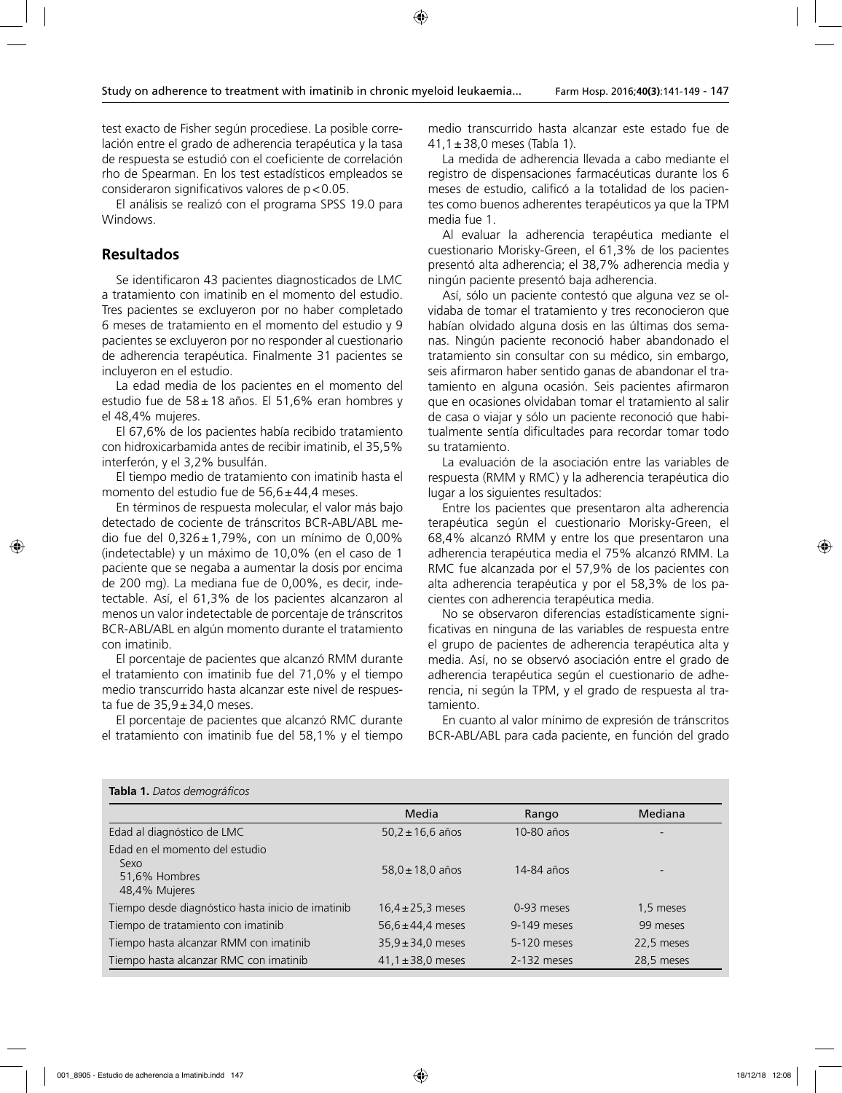test exacto de Fisher según procediese. La posible correlación entre el grado de adherencia terapéutica y la tasa de respuesta se estudió con el coeficiente de correlación rho de Spearman. En los test estadísticos empleados se consideraron significativos valores de  $p < 0.05$ .

El análisis se realizó con el programa SPSS 19.0 para Windows.

## **Resultados**

Se identificaron 43 pacientes diagnosticados de LMC a tratamiento con imatinib en el momento del estudio. Tres pacientes se excluyeron por no haber completado 6 meses de tratamiento en el momento del estudio y 9 pacientes se excluyeron por no responder al cuestionario de adherencia terapéutica. Finalmente 31 pacientes se incluyeron en el estudio.

La edad media de los pacientes en el momento del estudio fue de 58±18 años. El 51,6% eran hombres y el 48,4% mujeres.

El 67,6% de los pacientes había recibido tratamiento con hidroxicarbamida antes de recibir imatinib, el 35,5% interferón, y el 3,2% busulfán.

El tiempo medio de tratamiento con imatinib hasta el momento del estudio fue de  $56,6 \pm 44,4$  meses.

En términos de respuesta molecular, el valor más bajo detectado de cociente de tránscritos BCR-ABL/ABL medio fue del 0,326±1,79%, con un mínimo de 0,00% (indetectable) y un máximo de 10,0% (en el caso de 1 paciente que se negaba a aumentar la dosis por encima de 200 mg). La mediana fue de 0,00%, es decir, indetectable. Así, el 61,3% de los pacientes alcanzaron al menos un valor indetectable de porcentaje de tránscritos BCR-ABL/ABL en algún momento durante el tratamiento con imatinib.

El porcentaje de pacientes que alcanzó RMM durante el tratamiento con imatinib fue del 71,0% y el tiempo medio transcurrido hasta alcanzar este nivel de respuesta fue de  $35,9 \pm 34,0$  meses.

El porcentaje de pacientes que alcanzó RMC durante el tratamiento con imatinib fue del 58,1% y el tiempo

medio transcurrido hasta alcanzar este estado fue de 41,1±38,0 meses (Tabla 1).

La medida de adherencia llevada a cabo mediante el registro de dispensaciones farmacéuticas durante los 6 meses de estudio, calificó a la totalidad de los pacientes como buenos adherentes terapéuticos ya que la TPM media fue 1.

Al evaluar la adherencia terapéutica mediante el cuestionario Morisky-Green, el 61,3% de los pacientes presentó alta adherencia; el 38,7% adherencia media y ningún paciente presentó baja adherencia.

Así, sólo un paciente contestó que alguna vez se olvidaba de tomar el tratamiento y tres reconocieron que habían olvidado alguna dosis en las últimas dos semanas. Ningún paciente reconoció haber abandonado el tratamiento sin consultar con su médico, sin embargo, seis afirmaron haber sentido ganas de abandonar el tratamiento en alguna ocasión. Seis pacientes afirmaron que en ocasiones olvidaban tomar el tratamiento al salir de casa o viajar y sólo un paciente reconoció que habitualmente sentía dificultades para recordar tomar todo su tratamiento.

La evaluación de la asociación entre las variables de respuesta (RMM y RMC) y la adherencia terapéutica dio lugar a los siguientes resultados:

Entre los pacientes que presentaron alta adherencia terapéutica según el cuestionario Morisky-Green, el 68,4% alcanzó RMM y entre los que presentaron una adherencia terapéutica media el 75% alcanzó RMM. La RMC fue alcanzada por el 57,9% de los pacientes con alta adherencia terapéutica y por el 58,3% de los pacientes con adherencia terapéutica media.

No se observaron diferencias estadísticamente significativas en ninguna de las variables de respuesta entre el grupo de pacientes de adherencia terapéutica alta y media. Así, no se observó asociación entre el grado de adherencia terapéutica según el cuestionario de adherencia, ni según la TPM, y el grado de respuesta al tratamiento.

En cuanto al valor mínimo de expresión de tránscritos BCR-ABL/ABL para cada paciente, en función del grado

| <b>RODIG 1.</b> Datos acritograficos                                     |                       |             |            |
|--------------------------------------------------------------------------|-----------------------|-------------|------------|
|                                                                          | Media                 | Rango       | Mediana    |
| Edad al diagnóstico de LMC                                               | $50.2 \pm 16.6$ años  | 10-80 años  |            |
| Edad en el momento del estudio<br>Sexo<br>51,6% Hombres<br>48,4% Mujeres | $58.0 \pm 18.0$ años  | 14-84 años  |            |
| Tiempo desde diagnóstico hasta inicio de imatinib                        | $16.4 \pm 25.3$ meses | 0-93 meses  | 1,5 meses  |
| Tiempo de tratamiento con imatinib                                       | $56.6 \pm 44.4$ meses | 9-149 meses | 99 meses   |
| Tiempo hasta alcanzar RMM con imatinib                                   | $35.9 \pm 34.0$ meses | 5-120 meses | 22,5 meses |
| Tiempo hasta alcanzar RMC con imatinib                                   | $41.1 \pm 38.0$ meses | 2-132 meses | 28,5 meses |

### **Tabla 1.** *Datos demográficos*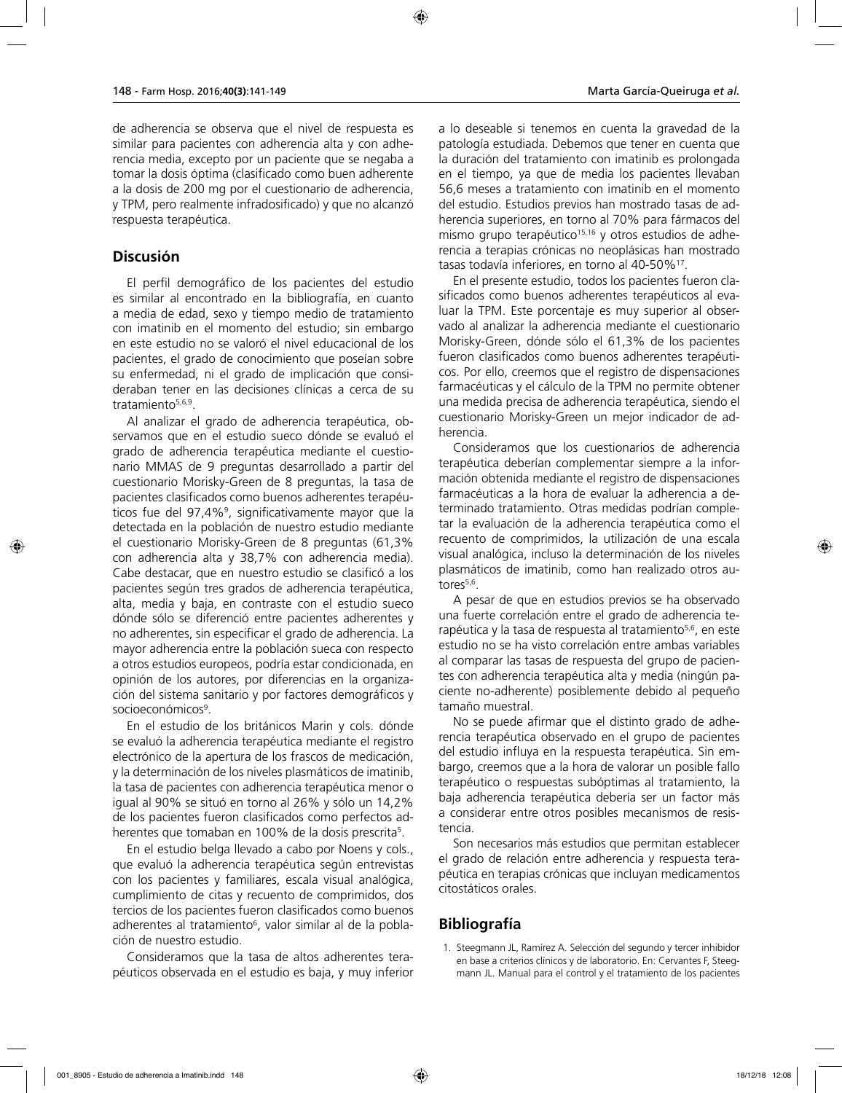de adherencia se observa que el nivel de respuesta es similar para pacientes con adherencia alta y con adherencia media, excepto por un paciente que se negaba a tomar la dosis óptima (clasificado como buen adherente a la dosis de 200 mg por el cuestionario de adherencia, y TPM, pero realmente infradosificado) y que no alcanzó respuesta terapéutica.

## **Discusión**

El perfil demográfico de los pacientes del estudio es similar al encontrado en la bibliografía, en cuanto a media de edad, sexo y tiempo medio de tratamiento con imatinib en el momento del estudio; sin embargo en este estudio no se valoró el nivel educacional de los pacientes, el grado de conocimiento que poseían sobre su enfermedad, ni el grado de implicación que consideraban tener en las decisiones clínicas a cerca de su tratamiento<sup>5,6,9</sup>.

Al analizar el grado de adherencia terapéutica, observamos que en el estudio sueco dónde se evaluó el grado de adherencia terapéutica mediante el cuestionario MMAS de 9 preguntas desarrollado a partir del cuestionario Morisky-Green de 8 preguntas, la tasa de pacientes clasificados como buenos adherentes terapéuticos fue del 97,4%<sup>9</sup>, significativamente mayor que la detectada en la población de nuestro estudio mediante el cuestionario Morisky-Green de 8 preguntas (61,3% con adherencia alta y 38,7% con adherencia media). Cabe destacar, que en nuestro estudio se clasificó a los pacientes según tres grados de adherencia terapéutica, alta, media y baja, en contraste con el estudio sueco dónde sólo se diferenció entre pacientes adherentes y no adherentes, sin especificar el grado de adherencia. La mayor adherencia entre la población sueca con respecto a otros estudios europeos, podría estar condicionada, en opinión de los autores, por diferencias en la organización del sistema sanitario y por factores demográficos y socioeconómicos<sup>9</sup>.

En el estudio de los británicos Marin y cols. dónde se evaluó la adherencia terapéutica mediante el registro electrónico de la apertura de los frascos de medicación, y la determinación de los niveles plasmáticos de imatinib, la tasa de pacientes con adherencia terapéutica menor o igual al 90% se situó en torno al 26% y sólo un 14,2% de los pacientes fueron clasificados como perfectos adherentes que tomaban en 100% de la dosis prescrita<sup>5</sup>.

En el estudio belga llevado a cabo por Noens y cols., que evaluó la adherencia terapéutica según entrevistas con los pacientes y familiares, escala visual analógica, cumplimiento de citas y recuento de comprimidos, dos tercios de los pacientes fueron clasificados como buenos adherentes al tratamiento<sup>6</sup>, valor similar al de la población de nuestro estudio.

Consideramos que la tasa de altos adherentes terapéuticos observada en el estudio es baja, y muy inferior a lo deseable si tenemos en cuenta la gravedad de la patología estudiada. Debemos que tener en cuenta que la duración del tratamiento con imatinib es prolongada en el tiempo, ya que de media los pacientes llevaban 56,6 meses a tratamiento con imatinib en el momento del estudio. Estudios previos han mostrado tasas de adherencia superiores, en torno al 70% para fármacos del mismo grupo terapéutico<sup>15,16</sup> y otros estudios de adherencia a terapias crónicas no neoplásicas han mostrado tasas todavía inferiores, en torno al 40-50%17.

En el presente estudio, todos los pacientes fueron clasificados como buenos adherentes terapéuticos al evaluar la TPM. Este porcentaje es muy superior al observado al analizar la adherencia mediante el cuestionario Morisky-Green, dónde sólo el 61,3% de los pacientes fueron clasificados como buenos adherentes terapéuticos. Por ello, creemos que el registro de dispensaciones farmacéuticas y el cálculo de la TPM no permite obtener una medida precisa de adherencia terapéutica, siendo el cuestionario Morisky-Green un mejor indicador de adherencia.

Consideramos que los cuestionarios de adherencia terapéutica deberían complementar siempre a la información obtenida mediante el registro de dispensaciones farmacéuticas a la hora de evaluar la adherencia a determinado tratamiento. Otras medidas podrían completar la evaluación de la adherencia terapéutica como el recuento de comprimidos, la utilización de una escala visual analógica, incluso la determinación de los niveles plasmáticos de imatinib, como han realizado otros autores<sup>5,6</sup>.

A pesar de que en estudios previos se ha observado una fuerte correlación entre el grado de adherencia terapéutica y la tasa de respuesta al tratamiento<sup>5,6</sup>, en este estudio no se ha visto correlación entre ambas variables al comparar las tasas de respuesta del grupo de pacientes con adherencia terapéutica alta y media (ningún paciente no-adherente) posiblemente debido al pequeño tamaño muestral.

No se puede afirmar que el distinto grado de adherencia terapéutica observado en el grupo de pacientes del estudio influya en la respuesta terapéutica. Sin embargo, creemos que a la hora de valorar un posible fallo terapéutico o respuestas subóptimas al tratamiento, la baja adherencia terapéutica debería ser un factor más a considerar entre otros posibles mecanismos de resistencia.

Son necesarios más estudios que permitan establecer el grado de relación entre adherencia y respuesta terapéutica en terapias crónicas que incluyan medicamentos citostáticos orales.

## **Bibliografía**

1. Steegmann JL, Ramírez A. Selección del segundo y tercer inhibidor en base a criterios clínicos y de laboratorio. En: Cervantes F, Steegmann JL. Manual para el control y el tratamiento de los pacientes